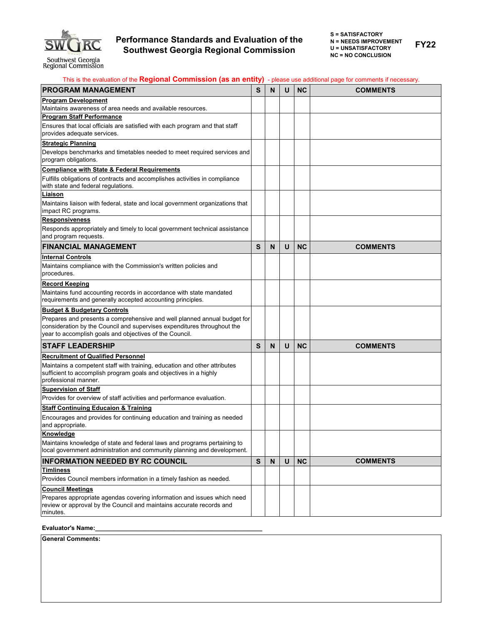

**FY22**

| This is the evaluation of the Regional Commission (as an entity) - please use additional page for comments if necessary.                                                                                       |           |   |   |           |                 |
|----------------------------------------------------------------------------------------------------------------------------------------------------------------------------------------------------------------|-----------|---|---|-----------|-----------------|
| <b>PROGRAM MANAGEMENT</b>                                                                                                                                                                                      |           | N | U | <b>NC</b> | <b>COMMENTS</b> |
| <b>Program Development</b>                                                                                                                                                                                     |           |   |   |           |                 |
| Maintains awareness of area needs and available resources.                                                                                                                                                     |           |   |   |           |                 |
| <b>Program Staff Performance</b>                                                                                                                                                                               |           |   |   |           |                 |
| Ensures that local officials are satisfied with each program and that staff<br>provides adequate services.                                                                                                     |           |   |   |           |                 |
| <b>Strategic Planning</b>                                                                                                                                                                                      |           |   |   |           |                 |
| Develops benchmarks and timetables needed to meet required services and<br>program obligations.                                                                                                                |           |   |   |           |                 |
| <b>Compliance with State &amp; Federal Requirements</b>                                                                                                                                                        |           |   |   |           |                 |
| Fulfills obligations of contracts and accomplishes activities in compliance<br>with state and federal regulations.                                                                                             |           |   |   |           |                 |
| Liaison                                                                                                                                                                                                        |           |   |   |           |                 |
| Maintains liaison with federal, state and local government organizations that<br>impact RC programs.                                                                                                           |           |   |   |           |                 |
| <b>Responsiveness</b>                                                                                                                                                                                          |           |   |   |           |                 |
| Responds appropriately and timely to local government technical assistance<br>and program requests.                                                                                                            |           |   |   |           |                 |
| <b>FINANCIAL MANAGEMENT</b>                                                                                                                                                                                    | S         | N | U | <b>NC</b> | <b>COMMENTS</b> |
| <b>Internal Controls</b>                                                                                                                                                                                       |           |   |   |           |                 |
| Maintains compliance with the Commission's written policies and<br>procedures.                                                                                                                                 |           |   |   |           |                 |
| <b>Record Keeping</b>                                                                                                                                                                                          |           |   |   |           |                 |
| Maintains fund accounting records in accordance with state mandated<br>requirements and generally accepted accounting principles.                                                                              |           |   |   |           |                 |
| <b>Budget &amp; Budgetary Controls</b>                                                                                                                                                                         |           |   |   |           |                 |
| Prepares and presents a comprehensive and well planned annual budget for<br>consideration by the Council and supervises expenditures throughout the<br>year to accomplish goals and objectives of the Council. |           |   |   |           |                 |
| <b>STAFF LEADERSHIP</b>                                                                                                                                                                                        | S         | N | U | <b>NC</b> | <b>COMMENTS</b> |
| <b>Recruitment of Qualified Personnel</b>                                                                                                                                                                      |           |   |   |           |                 |
| Maintains a competent staff with training, education and other attributes<br>sufficient to accomplish program goals and objectives in a highly<br>professional manner.                                         |           |   |   |           |                 |
| <b>Supervision of Staff</b>                                                                                                                                                                                    |           |   |   |           |                 |
| Provides for overview of staff activities and performance evaluation.                                                                                                                                          |           |   |   |           |                 |
| <b>Staff Continuing Educaion &amp; Training</b>                                                                                                                                                                |           |   |   |           |                 |
| Encourages and provides for continuing education and training as needed<br>and appropriate.                                                                                                                    |           |   |   |           |                 |
| Knowledge                                                                                                                                                                                                      |           |   |   |           |                 |
| Maintains knowledge of state and federal laws and programs pertaining to                                                                                                                                       |           |   |   |           |                 |
| local government administration and community planning and development.                                                                                                                                        |           |   |   |           |                 |
| <b>INFORMATION NEEDED BY RC COUNCIL</b>                                                                                                                                                                        | ${\bf S}$ | N | U | <b>NC</b> | <b>COMMENTS</b> |
| <u>Timliness</u><br>Provides Council members information in a timely fashion as needed.                                                                                                                        |           |   |   |           |                 |
| <b>Council Meetings</b>                                                                                                                                                                                        |           |   |   |           |                 |
| Prepares appropriate agendas covering information and issues which need                                                                                                                                        |           |   |   |           |                 |
| review or approval by the Council and maintains accurate records and                                                                                                                                           |           |   |   |           |                 |
| minutes.                                                                                                                                                                                                       |           |   |   |           |                 |

## **Evaluator's Name:\_\_\_\_\_\_\_\_\_\_\_\_\_\_\_\_\_\_\_\_\_\_\_\_\_\_\_\_\_\_\_\_\_\_\_\_\_\_\_\_\_\_\_\_\_\_\_\_\_**

**General Comments:**